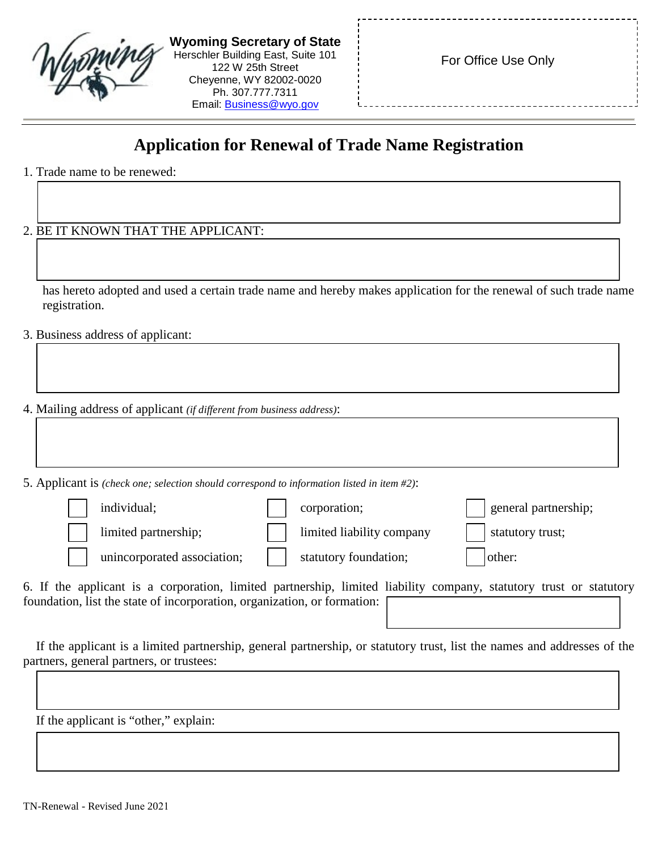| <b>Wyoming Secretary of State</b><br>Herschler Building East, Suite 101<br>122 W 25th Street<br>Cheyenne, WY 82002-0020<br>Ph. 307.777.7311<br>Email: Business@wyo.gov | For Office Use Only |
|------------------------------------------------------------------------------------------------------------------------------------------------------------------------|---------------------|
|------------------------------------------------------------------------------------------------------------------------------------------------------------------------|---------------------|

## **Application for Renewal of Trade Name Registration**

- 1. Trade name to be renewed:
- 2. BE IT KNOWN THAT THE APPLICANT:

 has hereto adopted and used a certain trade name and hereby makes application for the renewal of such trade name registration.

3. Business address of applicant:

4. Mailing address of applicant *(if different from business address)*:

5. Applicant is *(check one; selection should correspond to information listed in item #2)*:

| individual;                 | corporation;              | general partnership; |
|-----------------------------|---------------------------|----------------------|
| limited partnership;        | limited liability company | statutory trust;     |
| unincorporated association; | statutory foundation;     | other:               |

6. If the applicant is a corporation, limited partnership, limited liability company, statutory trust or statutory foundation, list the state of incorporation, organization, or formation:

If the applicant is a limited partnership, general partnership, or statutory trust, list the names and addresses of the partners, general partners, or trustees:

If the applicant is "other," explain: